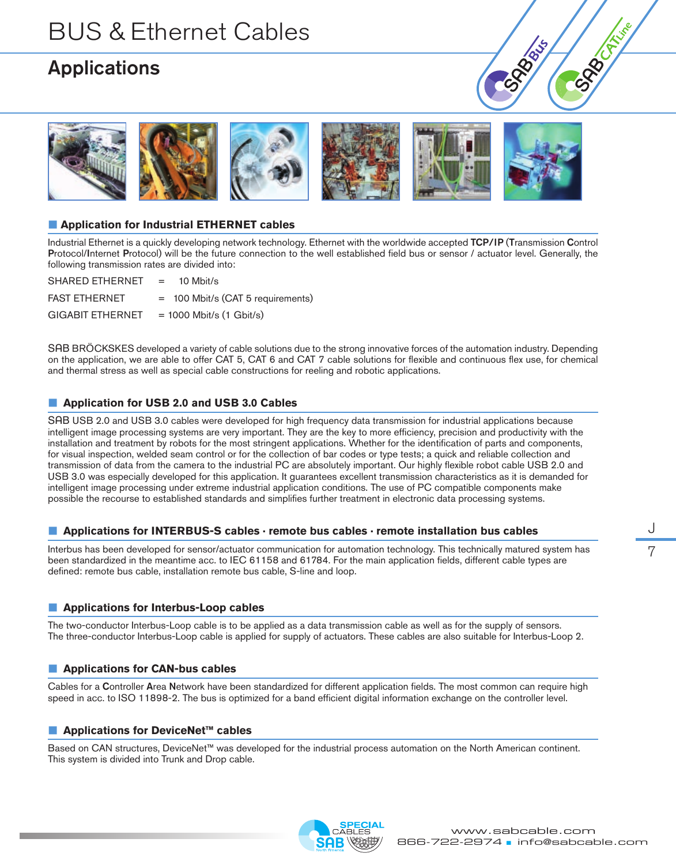### Applications





### ■ **Application for Industrial ETHERNET cables**

Industrial Ethernet is a quickly developing network technology. Ethernet with the worldwide accepted TCP/IP (Transmission Control Protocol/Internet Protocol) will be the future connection to the well established field bus or sensor / actuator level. Generally, the following transmission rates are divided into:

| SHARED ETHERNET         | 10 Mbit/s<br>$\mathbf{r} = \mathbf{r}$ |
|-------------------------|----------------------------------------|
| <b>FAST ETHERNET</b>    | = 100 Mbit/s (CAT 5 requirements)      |
| <b>GIGABIT ETHERNET</b> | $= 1000$ Mbit/s $(1$ Gbit/s)           |

SAB BRÖCKSKES developed a variety of cable solutions due to the strong innovative forces of the automation industry. Depending on the application, we are able to offer CAT 5, CAT 6 and CAT 7 cable solutions for flexible and continuous flex use, for chemical and thermal stress as well as special cable constructions for reeling and robotic applications.

### ■ **Application for USB 2.0 and USB 3.0 Cables**

SAB USB 2.0 and USB 3.0 cables were developed for high frequency data transmission for industrial applications because intelligent image processing systems are very important. They are the key to more efficiency, precision and productivity with the installation and treatment by robots for the most stringent applications. Whether for the identification of parts and components, for visual inspection, welded seam control or for the collection of bar codes or type tests; a quick and reliable collection and transmission of data from the camera to the industrial PC are absolutely important. Our highly flexible robot cable USB 2.0 and USB 3.0 was especially developed for this application. It guarantees excellent transmission characteristics as it is demanded for intelligent image processing under extreme industrial application conditions. The use of PC compatible components make possible the recourse to established standards and simplifies further treatment in electronic data processing systems.

#### ■ **Applications for INTERBUS-S cables · remote bus cables · remote installation bus cables**

Interbus has been developed for sensor/actuator communication for automation technology. This technically matured system has been standardized in the meantime acc. to IEC 61158 and 61784. For the main application fields, different cable types are defined: remote bus cable, installation remote bus cable, S-line and loop.

#### **■ Applications for Interbus-Loop cables**

The two-conductor Interbus-Loop cable is to be applied as a data transmission cable as well as for the supply of sensors. The three-conductor Interbus-Loop cable is applied for supply of actuators. These cables are also suitable for Interbus-Loop 2.

#### **■ Applications for CAN-bus cables**

Cables for a Controller Area Network have been standardized for different application fields. The most common can require high speed in acc. to ISO 11898-2. The bus is optimized for a band efficient digital information exchange on the controller level.

#### **■ Applications for DeviceNet™ cables**

Based on CAN structures, DeviceNet™ was developed for the industrial process automation on the North American continent. This system is divided into Trunk and Drop cable.



J 7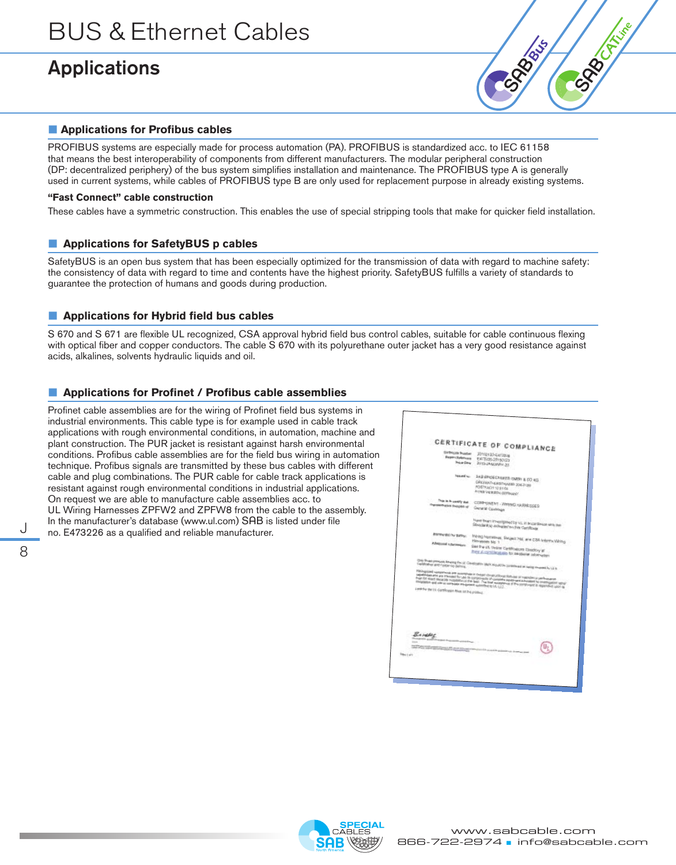## Applications

8



### **■ Applications for Profibus cables**

PROFIBUS systems are especially made for process automation (PA). PROFIBUS is standardized acc. to IEC 61158 that means the best interoperability of components from different manufacturers. The modular peripheral construction (DP: decentralized periphery) of the bus system simplifies installation and maintenance. The PROFIBUS type A is generally used in current systems, while cables of PROFIBUS type B are only used for replacement purpose in already existing systems.

### **"Fast Connect" cable construction**

These cables have a symmetric construction. This enables the use of special stripping tools that make for quicker field installation.

### **■ Applications for SafetyBUS p cables**

SafetyBUS is an open bus system that has been especially optimized for the transmission of data with regard to machine safety: the consistency of data with regard to time and contents have the highest priority. SafetyBUS fulfills a variety of standards to guarantee the protection of humans and goods during production.

### **■ Applications for Hybrid field bus cables**

S 670 and S 671 are flexible UL recognized, CSA approval hybrid field bus control cables, suitable for cable continuous flexing with optical fiber and copper conductors. The cable S 670 with its polyurethane outer jacket has a very good resistance against acids, alkalines, solvents hydraulic liquids and oil.

### ■ **Applications for Profinet / Profibus cable assemblies**

Profinet cable assemblies are for the wiring of Profinet field bus systems in industrial environments. This cable type is for example used in cable track applications with rough environmental conditions, in automation, machine and plant construction. The PUR jacket is resistant against harsh environmental conditions. Profibus cable assemblies are for the field bus wiring in automation technique. Profibus signals are transmitted by these bus cables with different cable and plug combinations. The PUR cable for cable track applications is resistant against rough environmental conditions in industrial applications. On request we are able to manufacture cable assemblies acc. to UL Wiring Harnesses ZPFW2 and ZPFW8 from the cable to the assembly. In the manufacturer's database (www.ul.com) SAB is listed under file<br>J no. E473226 as a qualified and reliable manufacturer.

| <b>De Billcole Mundoes</b><br><b>Report Following</b><br><b>Tekan Date</b>                                                   | CERTIFICATE OF COMPLIANCE<br>20100123-6472026<br>E473205-28150123<br>JOYS-JANUARY-25                                                                                                                                                                                                                                                                                                                                                               |
|------------------------------------------------------------------------------------------------------------------------------|----------------------------------------------------------------------------------------------------------------------------------------------------------------------------------------------------------------------------------------------------------------------------------------------------------------------------------------------------------------------------------------------------------------------------------------------------|
| <b>Recent box</b>                                                                                                            | SAB EROECKSIKES OMNY & CO KG.<br>GREENVILLE RETRAINED 204.2120<br>POSTFACH 12 FFGB<br>ATTAB VERSION GERMANY.                                                                                                                                                                                                                                                                                                                                       |
| This is in contry that<br>representative transfers of                                                                        | CONFOREMT - WIRMS HARMCSSED<br>General Caynesge                                                                                                                                                                                                                                                                                                                                                                                                    |
|                                                                                                                              | Howe been investigated by UL in accordance with the<br>Standard(x) indicated an this Certificate.                                                                                                                                                                                                                                                                                                                                                  |
| <b>Installation for Banky:</b><br><b>Additional Informations</b>                                                             | Wring Hamessex, Subject 764, and CSA Informa Wring<br><b>Harrissen No. 1</b><br>loss the UL Online DarkRoatcorp Directory at<br>more at carricktations for additional information                                                                                                                                                                                                                                                                  |
| Long for the Lic CorpScotton Mark III The primach                                                                            | Only those preduces awarrag that of Contingence Mark allowable constitutes as laring contrast by U.S.<br>Pacingstand semperants are inversible in certain constructions that this in institution and construction<br>republishes and are improved for use of compositions of complete residence is submitted by investigation rating<br>then for direct separate installations the fast. The line assessment of the component is reprinted upon to |
| <b>B.A.MARIE</b><br><b>Filter distances and have</b><br>-<br>地名美国格兰 医阿尔伯氏试验检尿病 医阿尔伯氏试验检胆管切除术 医多种性贫血<br><b>Francis</b> East & | <b><i>China care come</i></b><br><u>Mataharas</u>                                                                                                                                                                                                                                                                                                                                                                                                  |

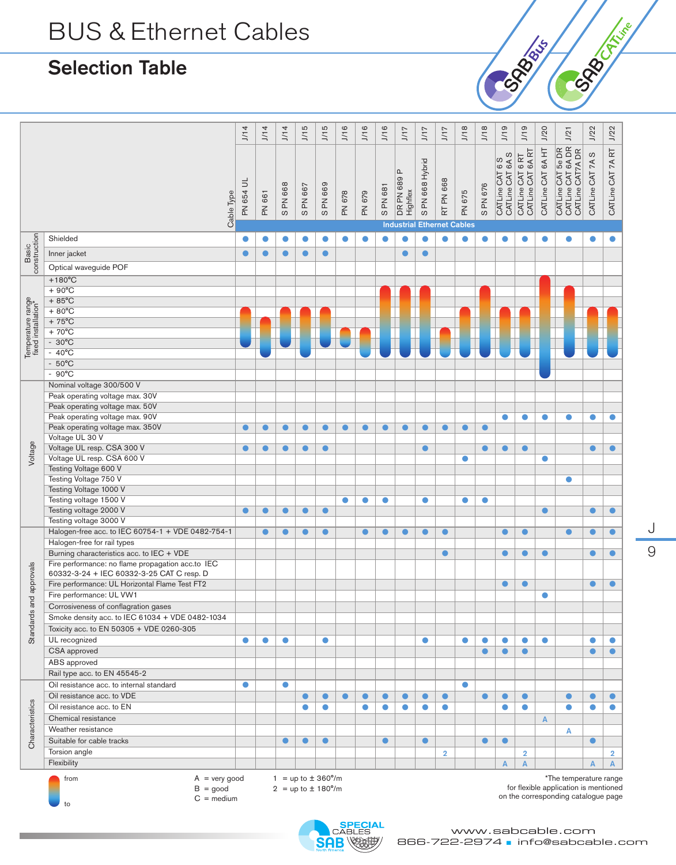## Selection Table

to

|                                                                          | J/14       | J/14                                          | J/14           | J/15      | J/15      | J/16      | J/16                                                           | J/16      | J/17                    | J/17            | J/17                                           | J/18           | J/18      | J/19                                | J/19                                  | J/20                             | J/21                                                       | J/22             | J/22                                                                                                                     |
|--------------------------------------------------------------------------|------------|-----------------------------------------------|----------------|-----------|-----------|-----------|----------------------------------------------------------------|-----------|-------------------------|-----------------|------------------------------------------------|----------------|-----------|-------------------------------------|---------------------------------------|----------------------------------|------------------------------------------------------------|------------------|--------------------------------------------------------------------------------------------------------------------------|
| Cable Type                                                               | PN 654 UL  | PN 661                                        | <b>SPN 668</b> | S PN 667  | SPN 669   | PN 678    | PN 679                                                         | S PN 681  | DR PN 689 P<br>Highflex | S PN 668 Hybrid | RT PN 668<br><b>Industrial Ethernet Cables</b> | PN 675         | S PN 676  | CATLine CAT 6A S<br>CATLine CAT 6 S | CATLine CAT 6A RT<br>CATLine CAT 6 RT | CATLine CAT 6A HT                | CATLine CAT 6A DR<br>CATLine CAT 5e DR<br>CATLine CAT7A DR | CATLine CAT 7A S | CATLine CAT 7A RT                                                                                                        |
|                                                                          |            | $\bullet$                                     | $\bullet$      | $\bullet$ | $\bullet$ | $\bullet$ | $\bullet$                                                      | $\bullet$ | $\bullet$               | $\bullet$       | $\bullet$                                      | $\bullet$      |           |                                     | ●                                     | $\bullet$                        |                                                            | $\bullet$        | $\bullet$                                                                                                                |
|                                                                          |            |                                               |                |           |           |           |                                                                |           |                         |                 |                                                |                |           |                                     |                                       |                                  |                                                            |                  |                                                                                                                          |
|                                                                          | $\bullet$  | $\bullet$                                     | $\bullet$      | $\bullet$ | $\bullet$ |           |                                                                |           | $\bullet$               | $\bullet$       |                                                |                |           |                                     |                                       |                                  |                                                            |                  |                                                                                                                          |
| Optical waveguide POF                                                    |            |                                               |                |           |           |           |                                                                |           |                         |                 |                                                |                |           |                                     |                                       |                                  |                                                            |                  |                                                                                                                          |
|                                                                          |            |                                               |                |           |           |           |                                                                |           |                         |                 |                                                |                |           |                                     |                                       |                                  |                                                            |                  |                                                                                                                          |
|                                                                          |            |                                               |                |           |           |           |                                                                |           |                         |                 |                                                |                |           |                                     |                                       |                                  |                                                            |                  |                                                                                                                          |
|                                                                          |            |                                               |                |           |           |           |                                                                |           |                         |                 |                                                |                |           |                                     |                                       |                                  |                                                            |                  |                                                                                                                          |
|                                                                          |            |                                               |                |           |           |           |                                                                |           |                         |                 |                                                |                |           |                                     |                                       |                                  |                                                            |                  |                                                                                                                          |
|                                                                          |            |                                               |                |           |           |           |                                                                |           |                         |                 |                                                |                |           |                                     |                                       |                                  |                                                            |                  |                                                                                                                          |
|                                                                          |            |                                               |                |           |           |           |                                                                |           |                         |                 |                                                |                |           |                                     |                                       |                                  |                                                            |                  |                                                                                                                          |
|                                                                          |            |                                               |                |           |           |           |                                                                |           |                         |                 |                                                |                |           |                                     |                                       |                                  |                                                            |                  |                                                                                                                          |
|                                                                          |            |                                               |                |           |           |           |                                                                |           |                         |                 |                                                |                |           |                                     |                                       |                                  |                                                            |                  |                                                                                                                          |
|                                                                          |            |                                               |                |           |           |           |                                                                |           |                         |                 |                                                |                |           |                                     |                                       |                                  |                                                            |                  |                                                                                                                          |
| Nominal voltage 300/500 V                                                |            |                                               |                |           |           |           |                                                                |           |                         |                 |                                                |                |           |                                     |                                       |                                  |                                                            |                  |                                                                                                                          |
| Peak operating voltage max. 30V                                          |            |                                               |                |           |           |           |                                                                |           |                         |                 |                                                |                |           |                                     |                                       |                                  |                                                            |                  |                                                                                                                          |
| Peak operating voltage max. 50V                                          |            |                                               |                |           |           |           |                                                                |           |                         |                 |                                                |                |           |                                     |                                       |                                  |                                                            |                  |                                                                                                                          |
| Peak operating voltage max. 90V                                          |            |                                               |                |           |           |           |                                                                |           |                         |                 |                                                |                |           | 0                                   | $\bullet$                             | $\bullet$                        | О                                                          | $\bullet$        | $\bullet$                                                                                                                |
| Peak operating voltage max. 350V<br>Voltage UL 30 V                      | $\bullet$  | $\bullet$                                     | $\bullet$      | $\bullet$ | $\bullet$ | $\bullet$ | $\bullet$                                                      | $\bullet$ | $\bullet$               | $\bullet$       | $\bullet$                                      | $\bullet$      | $\bullet$ |                                     |                                       |                                  |                                                            |                  |                                                                                                                          |
| Voltage UL resp. CSA 300 V                                               | $\bullet$  | $\bullet$                                     | $\bullet$      | $\bullet$ | $\bullet$ |           |                                                                |           |                         | $\bullet$       |                                                |                | $\bullet$ | $\bullet$                           | $\bullet$                             |                                  |                                                            | $\bullet$        | $\bullet$                                                                                                                |
| Voltage UL resp. CSA 600 V                                               |            |                                               |                |           |           |           |                                                                |           |                         |                 |                                                | $\bullet$      |           |                                     |                                       | $\bullet$                        |                                                            |                  |                                                                                                                          |
| Testing Voltage 600 V                                                    |            |                                               |                |           |           |           |                                                                |           |                         |                 |                                                |                |           |                                     |                                       |                                  |                                                            |                  |                                                                                                                          |
| Testing Voltage 750 V                                                    |            |                                               |                |           |           |           |                                                                |           |                         |                 |                                                |                |           |                                     |                                       |                                  | $\bullet$                                                  |                  |                                                                                                                          |
| Testing Voltage 1000 V                                                   |            |                                               |                |           |           |           |                                                                |           |                         |                 |                                                |                |           |                                     |                                       |                                  |                                                            |                  |                                                                                                                          |
| Testing voltage 1500 V                                                   |            |                                               |                |           |           | $\bullet$ | $\bullet$                                                      | $\bullet$ |                         | $\bullet$       |                                                | $\bullet$      | $\bullet$ |                                     |                                       |                                  |                                                            |                  |                                                                                                                          |
| Testing voltage 2000 V                                                   |            | $\bullet$                                     |                | $\bullet$ | ●         |           |                                                                |           |                         |                 |                                                |                |           |                                     |                                       | 0                                |                                                            | $\bullet$        | ●                                                                                                                        |
| Testing voltage 3000 V                                                   |            |                                               |                |           |           |           |                                                                |           |                         |                 |                                                |                |           |                                     |                                       |                                  |                                                            |                  |                                                                                                                          |
| Halogen-free acc. to IEC 60754-1 + VDE 0482-754-1                        |            | $\bullet$                                     | $\bullet$      | $\bullet$ | $\bullet$ |           | $\bullet$                                                      | $\bullet$ | $\bullet$               | $\bullet$       | $\bullet$                                      |                |           | $\bullet$                           | $\bullet$                             |                                  | $\bullet$                                                  | $\bullet$        | $\bullet$                                                                                                                |
| Halogen-free for rail types<br>Burning characteristics acc. to IEC + VDE |            |                                               |                |           |           |           |                                                                |           |                         |                 | $\bullet$                                      |                |           | $\bullet$                           | $\bullet$                             | $\bullet$                        |                                                            | $\bullet$        | $\bullet$                                                                                                                |
| Fire performance: no flame propagation acc.to IEC                        |            |                                               |                |           |           |           |                                                                |           |                         |                 |                                                |                |           |                                     |                                       |                                  |                                                            |                  |                                                                                                                          |
| 60332-3-24 + IEC 60332-3-25 CAT C resp. D                                |            |                                               |                |           |           |           |                                                                |           |                         |                 |                                                |                |           |                                     |                                       |                                  |                                                            |                  |                                                                                                                          |
| Fire performance: UL Horizontal Flame Test FT2                           |            |                                               |                |           |           |           |                                                                |           |                         |                 |                                                |                |           | $\bullet$                           | $\bullet$                             |                                  |                                                            | $\bullet$        | $\bullet$                                                                                                                |
| Fire performance: UL VW1                                                 |            |                                               |                |           |           |           |                                                                |           |                         |                 |                                                |                |           |                                     |                                       | $\bullet$                        |                                                            |                  |                                                                                                                          |
| Corrosiveness of conflagration gases                                     |            |                                               |                |           |           |           |                                                                |           |                         |                 |                                                |                |           |                                     |                                       |                                  |                                                            |                  |                                                                                                                          |
| Smoke density acc. to IEC 61034 + VDE 0482-1034                          |            |                                               |                |           |           |           |                                                                |           |                         |                 |                                                |                |           |                                     |                                       |                                  |                                                            |                  |                                                                                                                          |
| Toxicity acc. to EN 50305 + VDE 0260-305                                 |            |                                               |                |           |           |           |                                                                |           |                         |                 |                                                |                |           |                                     |                                       |                                  |                                                            |                  |                                                                                                                          |
|                                                                          | $\bullet$  | $\bullet$                                     | $\bullet$      |           | $\bullet$ |           |                                                                |           |                         | $\bullet$       |                                                | $\bullet$      | $\bullet$ | 0                                   | $\bullet$                             | $\bullet$                        |                                                            | $\bullet$        | $\bullet$                                                                                                                |
|                                                                          |            |                                               |                |           |           |           |                                                                |           |                         |                 |                                                |                | $\bullet$ |                                     | $\bullet$                             |                                  |                                                            | $\bullet$        | $\bullet$                                                                                                                |
|                                                                          |            |                                               |                |           |           |           |                                                                |           |                         |                 |                                                |                |           |                                     |                                       |                                  |                                                            |                  |                                                                                                                          |
| Rail type acc. to EN 45545-2                                             |            |                                               |                |           |           |           |                                                                |           |                         |                 |                                                |                |           |                                     |                                       |                                  |                                                            |                  |                                                                                                                          |
| Oil resistance acc. to internal standard                                 | $\bullet$  |                                               | $\bullet$      |           |           |           |                                                                |           |                         |                 |                                                | $\bullet$      |           |                                     |                                       |                                  |                                                            |                  |                                                                                                                          |
| Oil resistance acc. to VDE                                               |            |                                               |                | $\bullet$ |           | $\bullet$ | $\bullet$                                                      | $\bullet$ | $\bullet$               | $\bullet$       | $\bullet$                                      |                | $\bullet$ |                                     | $\bullet$                             |                                  | $\bullet$                                                  | $\bullet$        | $\bullet$                                                                                                                |
| Oil resistance acc. to EN                                                |            |                                               |                | $\bullet$ | $\bullet$ |           | $\bullet$                                                      | $\bullet$ | $\bullet$               | $\bullet$       | $\bullet$                                      |                |           | ●                                   | $\bullet$                             |                                  | $\bullet$                                                  | $\bullet$        | $\bullet$                                                                                                                |
| Chemical resistance<br>Weather resistance                                |            |                                               |                |           |           |           |                                                                |           |                         |                 |                                                |                |           |                                     |                                       | $\overline{A}$                   |                                                            |                  |                                                                                                                          |
|                                                                          |            |                                               |                |           |           |           |                                                                |           |                         |                 |                                                |                |           |                                     |                                       |                                  | А                                                          |                  |                                                                                                                          |
|                                                                          |            |                                               |                |           |           |           |                                                                |           |                         |                 |                                                |                |           |                                     |                                       |                                  |                                                            |                  |                                                                                                                          |
|                                                                          |            |                                               |                |           |           |           |                                                                |           |                         |                 |                                                |                |           |                                     |                                       |                                  |                                                            |                  | $\overline{2}$<br>A                                                                                                      |
|                                                                          |            |                                               |                |           |           |           |                                                                |           |                         |                 |                                                |                |           |                                     |                                       |                                  |                                                            |                  |                                                                                                                          |
| Suitable for cable tracks                                                | $B = good$ | $A = \text{very good}$<br>$C = \text{medium}$ |                | $\bullet$ | $\bullet$ | $\bullet$ | $1 = up to \pm 360^{\circ}/m$<br>$2 = up to \pm 180^{\circ}/m$ |           | $\bullet$               |                 | $\bullet$                                      | $\overline{2}$ |           | $\bullet$                           | $\bullet$<br>$\overline{A}$           | $\overline{2}$<br>$\overline{A}$ |                                                            |                  | $\bullet$<br>A<br>*The temperature range<br>for flexible application is mentioned<br>on the corresponding catalogue page |



J 9

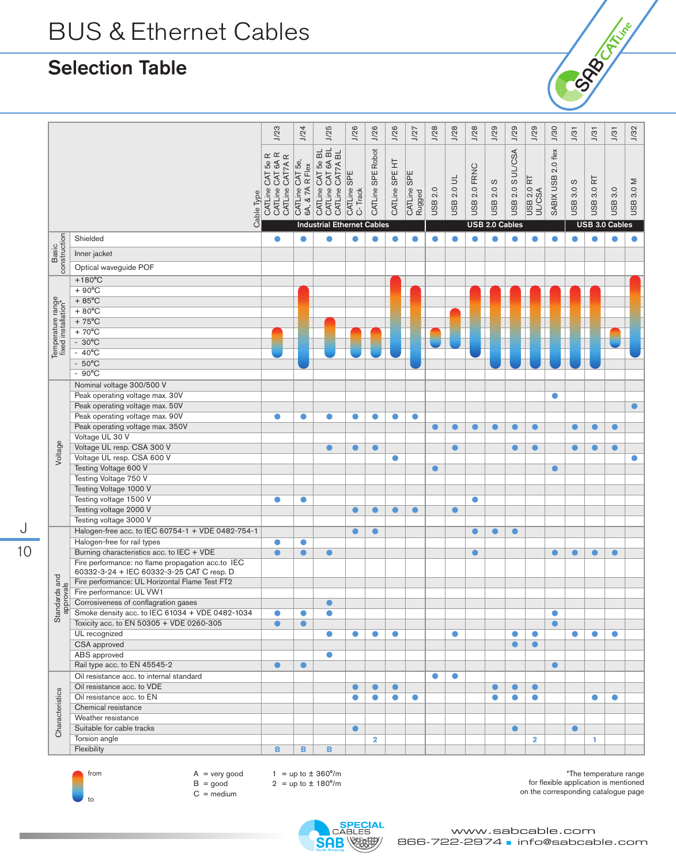## Selection Table





J 10

> $A = \text{very good}$  $B = good$  $C = \text{medium}$

 $1 = up to \pm 360^{\circ}/m$  $2 = up to  $\pm 180^{\circ}/m$$ 

\*The temperature range for flexible application is mentioned on the corresponding catalogue page

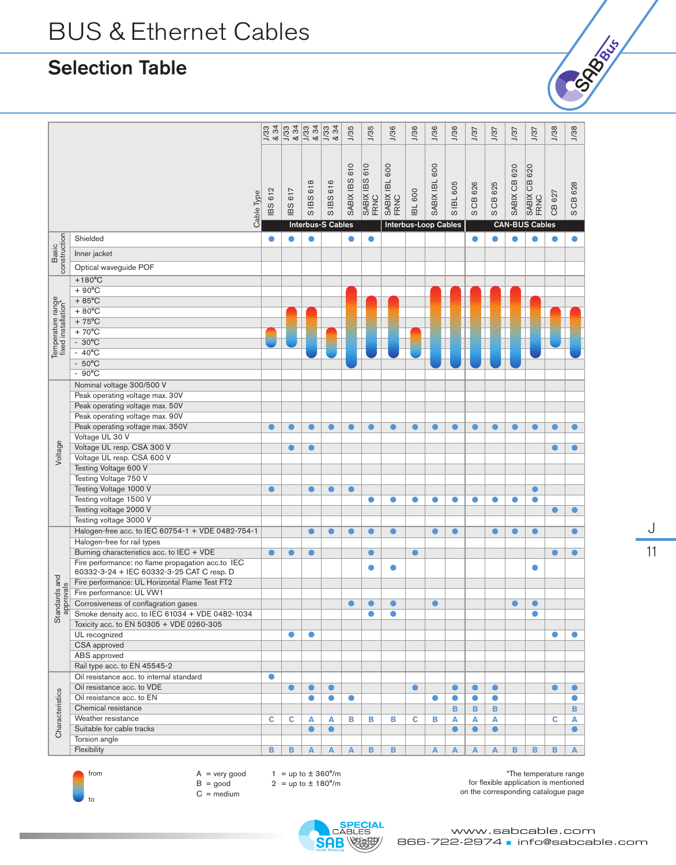## Selection Table

|                                          |                                                   | J/33<br>& 34 | $\frac{1}{3}$<br>834 | $\frac{1}{3}$<br>$\frac{8}{3}$ | 34<br>J/33<br>ಳ          | J/35          | J/35                  | <b>J/36</b>           | <b>J/36</b>          | <b>J/36</b>   | <b>J/36</b> | J/37         | 1/37         | J/37         | J/37                  | J/38      | <b>J/38</b>  |
|------------------------------------------|---------------------------------------------------|--------------|----------------------|--------------------------------|--------------------------|---------------|-----------------------|-----------------------|----------------------|---------------|-------------|--------------|--------------|--------------|-----------------------|-----------|--------------|
|                                          |                                                   |              |                      |                                |                          |               |                       |                       |                      |               |             |              |              |              |                       |           |              |
|                                          | Cable Type                                        | 612<br>BS    | 617<br>IBS           | SIBS 618                       | SIBS 616                 | SABIX IBS 610 | SABIX IBS 610<br>FRNC | SABIX IBL 600<br>FRNC | <b>IBL 600</b>       | SABIX IBL 600 | S IBL 605   | CB 626<br>ပာ | CB 625<br>ပာ | SABIX CB 620 | SABIX CB 620<br>FRNC  | CB 627    | CB 628<br>ပာ |
|                                          |                                                   |              |                      |                                | <b>Interbus-S Cables</b> |               |                       |                       | Interbus-Loop Cables |               |             |              |              |              | <b>CAN-BUS Cables</b> |           |              |
| Basic<br>construction                    | Shielded                                          | $\bullet$    |                      | $\bullet$                      |                          | $\bullet$     | $\bullet$             |                       |                      |               |             | $\bullet$    |              | $\bullet$    |                       |           | $\bullet$    |
|                                          | Inner jacket                                      |              |                      |                                |                          |               |                       |                       |                      |               |             |              |              |              |                       |           |              |
|                                          | Optical waveguide POF                             |              |                      |                                |                          |               |                       |                       |                      |               |             |              |              |              |                       |           |              |
|                                          | $+180^{\circ}$ C                                  |              |                      |                                |                          |               |                       |                       |                      |               |             |              |              |              |                       |           |              |
|                                          | $+90^{\circ}$ C                                   |              |                      |                                |                          |               |                       |                       |                      |               |             |              |              |              |                       |           |              |
|                                          | $+85^{\circ}$ C                                   |              |                      |                                |                          |               |                       |                       |                      |               |             |              |              |              |                       |           |              |
| Temperature range<br>fixed installation* | $+80^{\circ}$ C                                   |              |                      |                                |                          |               |                       |                       |                      |               |             |              |              |              |                       |           |              |
|                                          | $+75^{\circ}$ C                                   |              |                      |                                |                          |               |                       |                       |                      |               |             |              |              |              |                       |           |              |
|                                          | $+70^{\circ}$ C                                   |              |                      |                                |                          |               |                       |                       |                      |               |             |              |              |              |                       |           |              |
|                                          | $-30^{\circ}$ C                                   |              |                      |                                |                          |               |                       |                       |                      |               |             |              |              |              |                       |           |              |
|                                          | $-40^{\circ}$ C                                   |              |                      |                                |                          |               |                       |                       |                      |               |             |              |              |              |                       |           |              |
|                                          | $-50^{\circ}$ C                                   |              |                      |                                |                          |               |                       |                       |                      |               |             |              |              |              |                       |           |              |
|                                          | $-90^{\circ}$ C                                   |              |                      |                                |                          |               |                       |                       |                      |               |             |              |              |              |                       |           |              |
|                                          | Nominal voltage 300/500 V                         |              |                      |                                |                          |               |                       |                       |                      |               |             |              |              |              |                       |           |              |
|                                          | Peak operating voltage max. 30V                   |              |                      |                                |                          |               |                       |                       |                      |               |             |              |              |              |                       |           |              |
|                                          | Peak operating voltage max. 50V                   |              |                      |                                |                          |               |                       |                       |                      |               |             |              |              |              |                       |           |              |
|                                          | Peak operating voltage max. 90V                   |              |                      |                                |                          |               |                       |                       |                      |               |             |              |              |              |                       |           |              |
|                                          | Peak operating voltage max. 350V                  | $\bullet$    | $\bullet$            | $\bullet$                      | $\bullet$                | $\bullet$     | $\bullet$             | $\bullet$             | $\bullet$            | $\bullet$     | $\bullet$   | $\bullet$    | $\bullet$    | $\bullet$    | $\bullet$             | 0         | $\bullet$    |
|                                          | Voltage UL 30 V                                   |              |                      |                                |                          |               |                       |                       |                      |               |             |              |              |              |                       |           |              |
| Voltage                                  | Voltage UL resp. CSA 300 V                        |              | $\bullet$            | $\bullet$                      |                          |               |                       |                       |                      |               |             |              |              |              |                       |           | $\bullet$    |
|                                          | Voltage UL resp. CSA 600 V                        |              |                      |                                |                          |               |                       |                       |                      |               |             |              |              |              |                       |           |              |
|                                          | Testing Voltage 600 V                             |              |                      |                                |                          |               |                       |                       |                      |               |             |              |              |              |                       |           |              |
|                                          | Testing Voltage 750 V                             |              |                      |                                |                          |               |                       |                       |                      |               |             |              |              |              |                       |           |              |
|                                          | Testing Voltage 1000 V                            | $\bullet$    |                      | $\bullet$                      | $\bullet$                | $\bullet$     |                       |                       |                      |               |             |              |              |              | $\bullet$             |           |              |
|                                          | Testing voltage 1500 V                            |              |                      |                                |                          |               | $\bullet$             | $\bullet$             | $\bullet$            | $\bullet$     | $\bullet$   | $\bullet$    | $\bullet$    | $\bullet$    | $\bullet$             |           |              |
|                                          | Testing voltage 2000 V<br>Testing voltage 3000 V  |              |                      |                                |                          |               |                       |                       |                      |               |             |              |              |              |                       |           | $\bullet$    |
|                                          | Halogen-free acc. to IEC 60754-1 + VDE 0482-754-1 |              |                      |                                | $\bullet$                | ◠             |                       | $\bullet$             |                      | $\bullet$     | $\bullet$   |              | $\bullet$    | $\bullet$    | $\bullet$             |           | $\bullet$    |
|                                          | Halogen-free for rail types                       |              |                      | $\bullet$                      |                          |               | $\bullet$             |                       |                      |               |             |              |              |              |                       |           |              |
|                                          | Burning characteristics acc. to IEC + VDE         | $\bullet$    | e                    | $\bullet$                      |                          |               | $\bullet$             |                       | $\bullet$            |               |             |              |              |              |                       |           | $\bullet$    |
|                                          | Fire performance: no flame propagation acc.to IEC |              |                      |                                |                          |               |                       |                       |                      |               |             |              |              |              |                       |           |              |
|                                          | 60332-3-24 + IEC 60332-3-25 CAT C resp. D         |              |                      |                                |                          |               | $\bullet$             | $\bullet$             |                      |               |             |              |              |              | $\bullet$             |           |              |
| tandards and<br>approvals                | Fire performance: UL Horizontal Flame Test FT2    |              |                      |                                |                          |               |                       |                       |                      |               |             |              |              |              |                       |           |              |
|                                          | Fire performance: UL VW1                          |              |                      |                                |                          |               |                       |                       |                      |               |             |              |              |              |                       |           |              |
|                                          | Corrosiveness of conflagration gases              |              |                      |                                |                          |               | $\bullet$             |                       |                      |               |             |              |              |              |                       |           |              |
|                                          | Smoke density acc. to IEC 61034 + VDE 0482-1034   |              |                      |                                |                          |               |                       |                       |                      |               |             |              |              |              |                       |           |              |
| ö                                        | Toxicity acc. to EN 50305 + VDE 0260-305          |              |                      |                                |                          |               |                       |                       |                      |               |             |              |              |              |                       |           |              |
|                                          | UL recognized                                     |              | $\bullet$            | $\bullet$                      |                          |               |                       |                       |                      |               |             |              |              |              |                       |           | $\bullet$    |
|                                          | CSA approved                                      |              |                      |                                |                          |               |                       |                       |                      |               |             |              |              |              |                       |           |              |
|                                          | ABS approved                                      |              |                      |                                |                          |               |                       |                       |                      |               |             |              |              |              |                       |           |              |
|                                          | Rail type acc. to EN 45545-2                      |              |                      |                                |                          |               |                       |                       |                      |               |             |              |              |              |                       |           |              |
|                                          | Oil resistance acc. to internal standard          | $\bullet$    |                      |                                |                          |               |                       |                       |                      |               |             |              |              |              |                       |           |              |
|                                          | Oil resistance acc. to VDE                        |              | $\bullet$            | $\bullet$                      | $\bullet$                |               |                       |                       | $\bullet$            |               | $\bullet$   | $\bullet$    | $\bullet$    |              |                       | $\bullet$ | $\bullet$    |
|                                          | Oil resistance acc. to EN                         |              |                      | $\bullet$                      | $\bullet$                | $\bullet$     |                       |                       |                      | $\bullet$     | $\bullet$   | $\bullet$    | $\bullet$    |              |                       |           | $\bullet$    |
|                                          | Chemical resistance                               |              |                      |                                |                          |               |                       |                       |                      |               | в           | В            | В            |              |                       |           | B            |
|                                          | Weather resistance                                | Ċ            | c                    | A                              | A                        | в             | в                     | в                     | c                    | в             | A           | A            | A            |              |                       | c         | A            |
| Characteristics                          | Suitable for cable tracks                         |              |                      | $\bullet$                      | $\bullet$                |               |                       |                       |                      |               | $\bullet$   | $\bullet$    | $\bullet$    |              |                       |           | $\bullet$    |
|                                          | Torsion angle                                     |              |                      |                                |                          |               |                       |                       |                      |               |             |              |              |              |                       |           |              |
|                                          | Flexibility                                       | B            | в                    | A                              | A                        | A             | B                     | в                     |                      | A             | A           | A            | A            | B            | в                     | в         | A            |



 $A = \text{very good}$  $B = good$  $C = \text{medium}$ 

1 =  $up to \pm 360^{\circ}/m$ 

 $2 = up to \pm 180^{\circ}/m$ 

\*The temperature range for flexible application is mentioned on the corresponding catalogue page



J

Cost de la ligne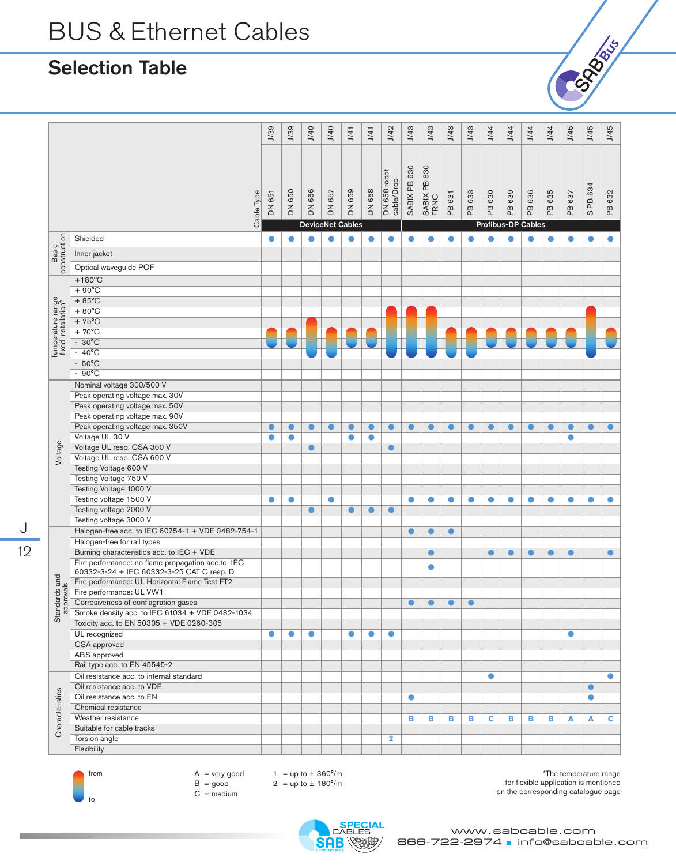## Selection Table

|                                          |                                                          | J/39      | J/39      | J/40      | J/40                    | J/41      | J/41          | J/42                       | J/43         | J/43                 | J/43      | J/43      | 1/44      | 1/44               | 1/44      | 1/44      | J/45      | J/45               | J/45      |
|------------------------------------------|----------------------------------------------------------|-----------|-----------|-----------|-------------------------|-----------|---------------|----------------------------|--------------|----------------------|-----------|-----------|-----------|--------------------|-----------|-----------|-----------|--------------------|-----------|
|                                          | Cable Type                                               | DN 651    | DN 650    | DN 656    | DN 657                  | DN 659    | <b>DN 658</b> | DN 658 robot<br>cable/Drop | SABIX PB 630 | SABIX PB 630<br>FRNC | PB 631    | PB 633    | PB 630    | PB 639             | 636<br>РB | PB 635    | PB 637    | PB 634<br>$\omega$ | PB 632    |
|                                          |                                                          |           |           |           | <b>DeviceNet Cables</b> |           |               |                            |              |                      |           |           |           | Profibus-DP Cables |           |           |           |                    |           |
|                                          | Shielded                                                 | $\bullet$ |           | $\bullet$ | ●                       |           | ●             | $\bullet$                  | ●            | ●                    | $\bullet$ | $\bullet$ |           | ●                  |           | ●         | 0         | $\bullet$          | $\bullet$ |
| Basic<br>construction                    | Inner jacket                                             |           |           |           |                         |           |               |                            |              |                      |           |           |           |                    |           |           |           |                    |           |
|                                          | Optical waveguide POF                                    |           |           |           |                         |           |               |                            |              |                      |           |           |           |                    |           |           |           |                    |           |
|                                          | $+180^{\circ}$ C                                         |           |           |           |                         |           |               |                            |              |                      |           |           |           |                    |           |           |           |                    |           |
|                                          | $+90^{\circ}$ C                                          |           |           |           |                         |           |               |                            |              |                      |           |           |           |                    |           |           |           |                    |           |
| Temperature range<br>fixed installation* | $+85^{\circ}$ C                                          |           |           |           |                         |           |               |                            |              |                      |           |           |           |                    |           |           |           |                    |           |
|                                          | $+80^{\circ}$ C                                          |           |           |           |                         |           |               |                            |              |                      |           |           |           |                    |           |           |           |                    |           |
|                                          | $+75^{\circ}$ C                                          |           |           |           |                         |           |               |                            |              |                      |           |           |           |                    |           |           |           |                    |           |
|                                          | $+70^{\circ}$ C                                          |           |           |           |                         |           |               |                            |              |                      |           |           |           |                    |           |           |           |                    |           |
|                                          | $-30^{\circ}$ C                                          |           |           |           |                         |           |               |                            |              |                      |           |           |           |                    |           |           |           |                    |           |
|                                          | $-40^{\circ}$ C                                          |           |           |           |                         |           |               |                            |              |                      |           |           |           |                    |           |           |           |                    |           |
|                                          | $-50^{\circ}$ C                                          |           |           |           |                         |           |               |                            |              |                      |           |           |           |                    |           |           |           |                    |           |
|                                          | $-90^{\circ}$ C                                          |           |           |           |                         |           |               |                            |              |                      |           |           |           |                    |           |           |           |                    |           |
|                                          | Nominal voltage 300/500 V                                |           |           |           |                         |           |               |                            |              |                      |           |           |           |                    |           |           |           |                    |           |
|                                          | Peak operating voltage max. 30V                          |           |           |           |                         |           |               |                            |              |                      |           |           |           |                    |           |           |           |                    |           |
|                                          | Peak operating voltage max. 50V                          |           |           |           |                         |           |               |                            |              |                      |           |           |           |                    |           |           |           |                    |           |
|                                          | Peak operating voltage max. 90V                          |           |           |           |                         |           |               |                            |              |                      |           |           |           |                    |           |           |           |                    |           |
|                                          | Peak operating voltage max. 350V                         | $\bullet$ | $\bullet$ | $\bullet$ | $\bullet$               | $\bullet$ | $\bullet$     | $\bullet$                  | $\bullet$    | $\bullet$            | $\bullet$ | $\bullet$ | O         | $\bullet$          | $\bullet$ | $\bullet$ | $\bullet$ | $\bullet$          | $\bullet$ |
|                                          | Voltage UL 30 V                                          | $\bullet$ | $\bullet$ |           |                         | $\bullet$ | $\bullet$     |                            |              |                      |           |           |           |                    |           |           | $\bullet$ |                    |           |
| Voltage                                  | Voltage UL resp. CSA 300 V<br>Voltage UL resp. CSA 600 V |           |           | $\bullet$ |                         |           |               | $\bullet$                  |              |                      |           |           |           |                    |           |           |           |                    |           |
|                                          | Testing Voltage 600 V                                    |           |           |           |                         |           |               |                            |              |                      |           |           |           |                    |           |           |           |                    |           |
|                                          | Testing Voltage 750 V                                    |           |           |           |                         |           |               |                            |              |                      |           |           |           |                    |           |           |           |                    |           |
|                                          | Testing Voltage 1000 V                                   |           |           |           |                         |           |               |                            |              |                      |           |           |           |                    |           |           |           |                    |           |
|                                          | Testing voltage 1500 V                                   | $\bullet$ | $\bullet$ |           | $\bullet$               |           |               |                            | $\bullet$    | $\bullet$            | $\bullet$ | $\bullet$ | $\bullet$ | $\bullet$          | $\bullet$ | $\bullet$ | $\bullet$ | $\bullet$          | $\bullet$ |
|                                          | Testing voltage 2000 V                                   |           |           | $\bullet$ |                         | O         |               |                            |              |                      |           |           |           |                    |           |           |           |                    |           |
|                                          | Testing voltage 3000 V                                   |           |           |           |                         |           |               |                            |              |                      |           |           |           |                    |           |           |           |                    |           |
|                                          | Halogen-free acc. to IEC 60754-1 + VDE 0482-754-1        |           |           |           |                         |           |               |                            | $\bullet$    | $\bullet$            | $\bullet$ |           |           |                    |           |           |           |                    |           |
|                                          | Halogen-free for rail types                              |           |           |           |                         |           |               |                            |              |                      |           |           |           |                    |           |           |           |                    |           |
|                                          | Burning characteristics acc. to IEC + VDE                |           |           |           |                         |           |               |                            |              | $\bullet$            |           |           | $\bullet$ | $\bullet$          | $\bullet$ | $\bullet$ | $\bullet$ |                    | $\bullet$ |
|                                          | Fire performance: no flame propagation acc.to IEC        |           |           |           |                         |           |               |                            |              |                      |           |           |           |                    |           |           |           |                    |           |
|                                          | 60332-3-24 + IEC 60332-3-25 CAT C resp. D                |           |           |           |                         |           |               |                            |              | $\bullet$            |           |           |           |                    |           |           |           |                    |           |
| and<br>Is                                | Fire performance: UL Horizontal Flame Test FT2           |           |           |           |                         |           |               |                            |              |                      |           |           |           |                    |           |           |           |                    |           |
| tandards :<br>approvals                  | Fire performance: UL VW1                                 |           |           |           |                         |           |               |                            |              |                      |           |           |           |                    |           |           |           |                    |           |
|                                          | Corrosiveness of conflagration gases                     |           |           |           |                         |           |               |                            | ●            |                      | ●         |           |           |                    |           |           |           |                    |           |
| 5                                        | Smoke density acc. to IEC 61034 + VDE 0482-1034          |           |           |           |                         |           |               |                            |              |                      |           |           |           |                    |           |           |           |                    |           |
|                                          | Toxicity acc. to EN 50305 + VDE 0260-305                 |           |           |           |                         |           |               |                            |              |                      |           |           |           |                    |           |           |           |                    |           |
|                                          | UL recognized                                            | $\bullet$ | ●         | $\bullet$ |                         | $\bullet$ | $\bullet$     | $\bullet$                  |              |                      |           |           |           |                    |           |           | $\bullet$ |                    |           |
|                                          | CSA approved                                             |           |           |           |                         |           |               |                            |              |                      |           |           |           |                    |           |           |           |                    |           |
|                                          | ABS approved                                             |           |           |           |                         |           |               |                            |              |                      |           |           |           |                    |           |           |           |                    |           |
|                                          | Rail type acc. to EN 45545-2                             |           |           |           |                         |           |               |                            |              |                      |           |           |           |                    |           |           |           |                    |           |
|                                          | Oil resistance acc. to internal standard                 |           |           |           |                         |           |               |                            |              |                      |           |           | $\bullet$ |                    |           |           |           |                    | $\bullet$ |
|                                          | Oil resistance acc. to VDE                               |           |           |           |                         |           |               |                            |              |                      |           |           |           |                    |           |           |           | $\bullet$          |           |
|                                          | Oil resistance acc. to EN                                |           |           |           |                         |           |               |                            | $\bullet$    |                      |           |           |           |                    |           |           |           | $\bullet$          |           |
|                                          | Chemical resistance                                      |           |           |           |                         |           |               |                            |              |                      |           |           |           |                    |           |           |           |                    |           |
| Characteristics                          | Weather resistance                                       |           |           |           |                         |           |               |                            | в            | в                    | в         | в         | c         | в                  | в         | в         | A         | Α                  | c         |
|                                          | Suitable for cable tracks                                |           |           |           |                         |           |               |                            |              |                      |           |           |           |                    |           |           |           |                    |           |
|                                          | Torsion angle<br>Flexibility                             |           |           |           |                         |           |               | $\overline{\mathbf{2}}$    |              |                      |           |           |           |                    |           |           |           |                    |           |
|                                          |                                                          |           |           |           |                         |           |               |                            |              |                      |           |           |           |                    |           |           |           |                    |           |



12

J



 $A = \text{very good}$  $B = good$  $C = \text{medium}$ 

1 = up to  $\pm$  360°/m  $2 = up to \pm 180^{\circ}/m$ 

\*The temperature range for flexible application is mentioned on the corresponding catalogue page